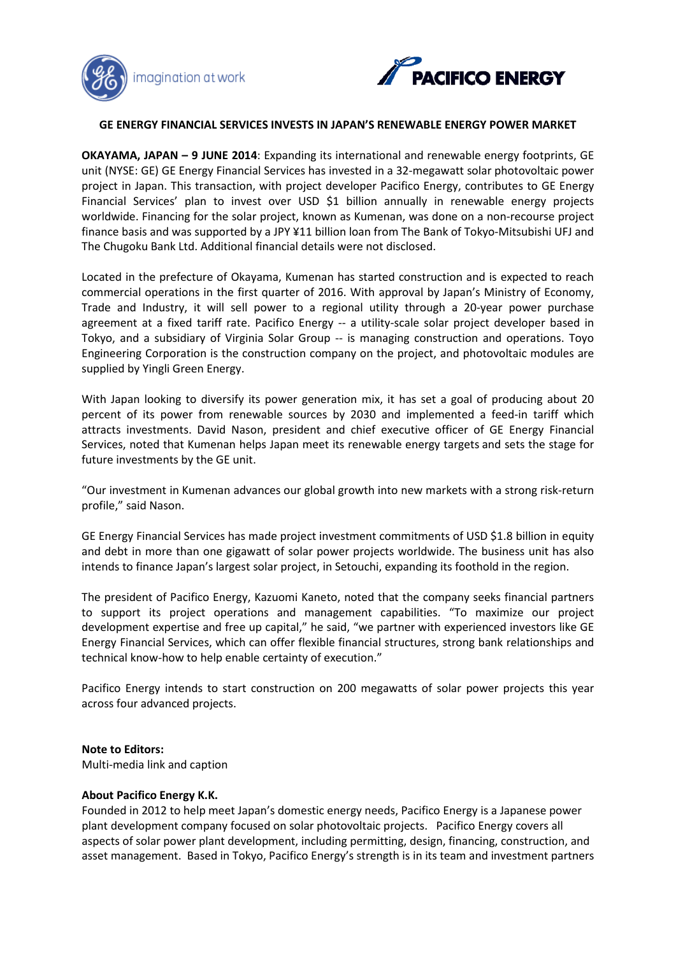



### **GE ENERGY FINANCIAL SERVICES INVESTS IN JAPAN'S RENEWABLE ENERGY POWER MARKET**

**OKAYAMA, JAPAN – 9 JUNE 2014**: Expanding its international and renewable energy footprints, GE unit (NYSE: GE) GE Energy Financial Services has invested in a 32-megawatt solar photovoltaic power project in Japan. This transaction, with project developer Pacifico Energy, contributes to GE Energy Financial Services' [plan to invest over USD \\$1](http://geenergyfinancialservices.com/press_releases/view/53) billion annually in renewable energy projects worldwide. Financing for the solar project, known as Kumenan, was done on a non-recourse project finance basis and was supported by a JPY ¥11 billion loan from The Bank of Tokyo-Mitsubishi UFJ and The Chugoku Bank Ltd. Additional financial details were not disclosed.

Located in the prefecture of Okayama, Kumenan has started construction and is expected to reach commercial operations in the first quarter of 2016. With approval by Japan's Ministry of Economy, Trade and Industry, it will sell power to a regional utility through a 20-year power purchase agreement at a fixed tariff rate. Pacifico Energy -- a utility-scale solar project developer based in Tokyo, and a subsidiary of Virginia Solar Group -- is managing construction and operations. Toyo Engineering Corporation is the construction company on the project, and photovoltaic modules are supplied by Yingli Green Energy.

With Japan looking to diversify its power generation mix, it has set a goal of producing about 20 percent of its power from renewable sources by 2030 and implemented a feed-in tariff which attracts investments. David Nason, president and chief executive officer of GE Energy Financial Services, noted that Kumenan helps Japan meet its renewable energy targets and sets the stage for future investments by the GE unit.

"Our investment in Kumenan advances our global growth into new markets with a strong risk-return profile," said Nason.

GE Energy Financial Services has made project investment commitments of USD \$1.8 billion in equity and debt in more than one gigawatt of solar power projects worldwide. The business unit has also intends to finance Japan's largest solar project, in Setouchi, expanding its foothold in the region.

The president of Pacifico Energy, Kazuomi Kaneto, noted that the company seeks financial partners to support its project operations and management capabilities. "To maximize our project development expertise and free up capital," he said, "we partner with experienced investors like GE Energy Financial Services, which can offer flexible financial structures, strong bank relationships and technical know-how to help enable certainty of execution."

Pacifico Energy intends to start construction on 200 megawatts of solar power projects this year across four advanced projects.

#### **Note to Editors:**

Multi-media link and caption

#### **About Pacifico Energy K.K.**

Founded in 2012 to help meet Japan's domestic energy needs, Pacifico Energy is a Japanese power plant development company focused on solar photovoltaic projects. Pacifico Energy covers all aspects of solar power plant development, including permitting, design, financing, construction, and asset management. Based in Tokyo, Pacifico Energy's strength is in its team and investment partners